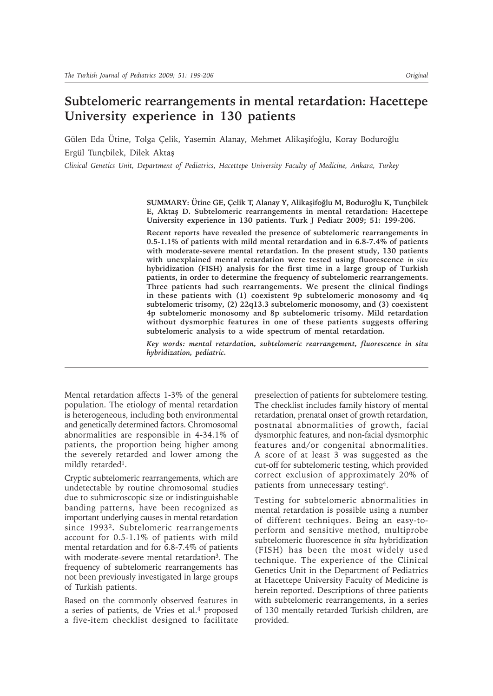# **Subtelomeric rearrangements in mental retardation: Hacettepe University experience in 130 patients**

Gülen Eda Ütine, Tolga Çelik, Yasemin Alanay, Mehmet Alikaşifoğlu, Koray Boduroğlu Ergül Tunçbilek, Dilek Aktaş

*Clinical Genetics Unit, Department of Pediatrics, Hacettepe University Faculty of Medicine, Ankara, Turkey*

**SUMMARY: Ütine GE, Çelik T, Alanay Y, Alikaşifoğlu M, Boduroğlu K, Tunçbilek E, Aktaş D. Subtelomeric rearrangements in mental retardation: Hacettepe University experience in 130 patients. Turk J Pediatr 2009; 51: 199-206.**

**Recent reports have revealed the presence of subtelomeric rearrangements in 0.5-1.1% of patients with mild mental retardation and in 6.8-7.4% of patients with moderate-severe mental retardation. In the present study, 130 patients with unexplained mental retardation were tested using fluorescence** *in situ* **hybridization (FISH) analysis for the first time in a large group of Turkish patients, in order to determine the frequency of subtelomeric rearrangements. Three patients had such rearrangements. We present the clinical findings in these patients with (1) coexistent 9p subtelomeric monosomy and 4q subtelomeric trisomy, (2) 22q13.3 subtelomeric monosomy, and (3) coexistent 4p subtelomeric monosomy and 8p subtelomeric trisomy. Mild retardation without dysmorphic features in one of these patients suggests offering subtelomeric analysis to a wide spectrum of mental retardation.**

*Key words: mental retardation, subtelomeric rearrangement, fluorescence in situ hybridization, pediatric.*

Mental retardation affects 1-3% of the general population. The etiology of mental retardation is heterogeneous, including both environmental and genetically determined factors. Chromosomal abnormalities are responsible in 4-34.1% of patients, the proportion being higher among the severely retarded and lower among the mildly retarded<sup>1</sup>.

Cryptic subtelomeric rearrangements, which are undetectable by routine chromosomal studies due to submicroscopic size or indistinguishable banding patterns, have been recognized as important underlying causes in mental retardation since 19932**.** Subtelomeric rearrangements account for 0.5-1.1% of patients with mild mental retardation and for 6.8-7.4% of patients with moderate-severe mental retardation<sup>3</sup>. The frequency of subtelomeric rearrangements has not been previously investigated in large groups of Turkish patients.

Based on the commonly observed features in a series of patients, de Vries et al.4 proposed a five-item checklist designed to facilitate

preselection of patients for subtelomere testing. The checklist includes family history of mental retardation, prenatal onset of growth retardation, postnatal abnormalities of growth, facial dysmorphic features, and non-facial dysmorphic features and/or congenital abnormalities. A score of at least 3 was suggested as the cut-off for subtelomeric testing, which provided correct exclusion of approximately 20% of patients from unnecessary testing4.

Testing for subtelomeric abnormalities in mental retardation is possible using a number of different techniques. Being an easy-toperform and sensitive method, multiprobe subtelomeric fluorescence *in situ* hybridization (FISH) has been the most widely used technique. The experience of the Clinical Genetics Unit in the Department of Pediatrics at Hacettepe University Faculty of Medicine is herein reported. Descriptions of three patients with subtelomeric rearrangements, in a series of 130 mentally retarded Turkish children, are provided.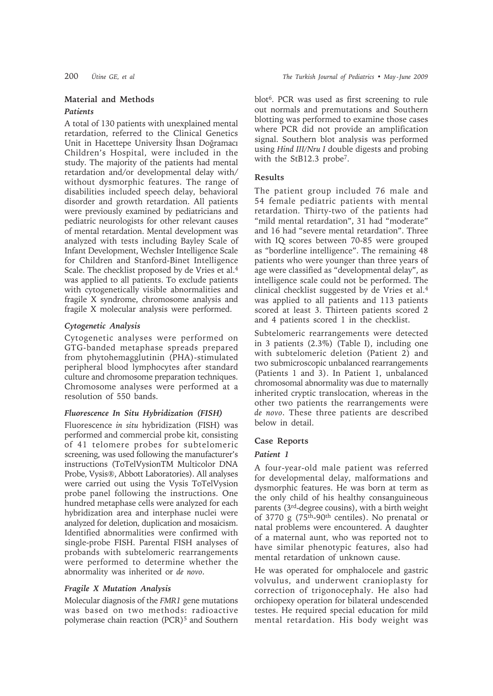## **Material and Methods**

#### *Patients*

A total of 130 patients with unexplained mental retardation, referred to the Clinical Genetics Unit in Hacettepe University İhsan Doğramacı Children's Hospital, were included in the study. The majority of the patients had mental retardation and/or developmental delay with/ without dysmorphic features. The range of disabilities included speech delay, behavioral disorder and growth retardation. All patients were previously examined by pediatricians and pediatric neurologists for other relevant causes of mental retardation. Mental development was analyzed with tests including Bayley Scale of Infant Development, Wechsler Intelligence Scale for Children and Stanford-Binet Intelligence Scale. The checklist proposed by de Vries et al.<sup>4</sup> was applied to all patients. To exclude patients with cytogenetically visible abnormalities and fragile X syndrome, chromosome analysis and fragile X molecular analysis were performed.

#### *Cytogenetic Analysis*

Cytogenetic analyses were performed on GTG-banded metaphase spreads prepared from phytohemagglutinin (PHA)-stimulated peripheral blood lymphocytes after standard culture and chromosome preparation techniques. Chromosome analyses were performed at a resolution of 550 bands.

#### *Fluorescence In Situ Hybridization (FISH)*

Fluorescence *in situ* hybridization (FISH) was performed and commercial probe kit, consisting of 41 telomere probes for subtelomeric screening, was used following the manufacturer's instructions (ToTelVysionTM Multicolor DNA Probe, Vysis®, Abbott Laboratories). All analyses were carried out using the Vysis ToTelVysion probe panel following the instructions. One hundred metaphase cells were analyzed for each hybridization area and interphase nuclei were analyzed for deletion, duplication and mosaicism. Identified abnormalities were confirmed with single-probe FISH. Parental FISH analyses of probands with subtelomeric rearrangements were performed to determine whether the abnormality was inherited or *de novo*.

# *Fragile X Mutation Analysis*

Molecular diagnosis of the *FMR1* gene mutations was based on two methods: radioactive polymerase chain reaction (PCR)5 and Southern blot6. PCR was used as first screening to rule out normals and premutations and Southern blotting was performed to examine those cases where PCR did not provide an amplification signal. Southern blot analysis was performed using *Hind III/Nru I* double digests and probing with the StB12.3 probe7.

#### **Results**

The patient group included 76 male and 54 female pediatric patients with mental retardation. Thirty-two of the patients had "mild mental retardation", 31 had "moderate" and 16 had "severe mental retardation". Three with IQ scores between 70-85 were grouped as "borderline intelligence". The remaining 48 patients who were younger than three years of age were classified as "developmental delay", as intelligence scale could not be performed. The clinical checklist suggested by de Vries et al.4 was applied to all patients and 113 patients scored at least 3. Thirteen patients scored 2 and 4 patients scored 1 in the checklist.

Subtelomeric rearrangements were detected in 3 patients (2.3%) (Table I), including one with subtelomeric deletion (Patient 2) and two submicroscopic unbalanced rearrangements (Patients 1 and 3). In Patient 1, unbalanced chromosomal abnormality was due to maternally inherited cryptic translocation, whereas in the other two patients the rearrangements were *de novo*. These three patients are described below in detail.

# **Case Reports**

# *Patient 1*

A four-year-old male patient was referred for developmental delay, malformations and dysmorphic features. He was born at term as the only child of his healthy consanguineous parents (3rd-degree cousins), with a birth weight of 3770 g (75th-90th centiles). No prenatal or natal problems were encountered. A daughter of a maternal aunt, who was reported not to have similar phenotypic features, also had mental retardation of unknown cause.

He was operated for omphalocele and gastric volvulus, and underwent cranioplasty for correction of trigonocephaly. He also had orchiopexy operation for bilateral undescended testes. He required special education for mild mental retardation. His body weight was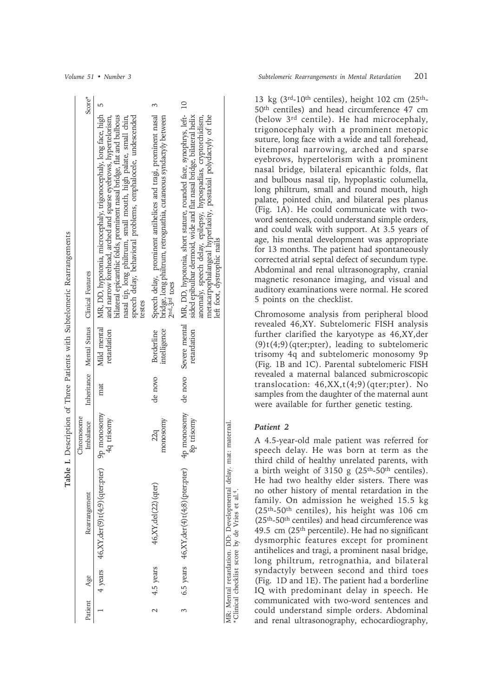|  | Score*                                      |                                                                                                                                                                                                                                                                                                                                                           |                                                                                                                                                         |                                                                                                                                                                                                                                                                                                              |                                                                                                                                 |
|--|---------------------------------------------|-----------------------------------------------------------------------------------------------------------------------------------------------------------------------------------------------------------------------------------------------------------------------------------------------------------------------------------------------------------|---------------------------------------------------------------------------------------------------------------------------------------------------------|--------------------------------------------------------------------------------------------------------------------------------------------------------------------------------------------------------------------------------------------------------------------------------------------------------------|---------------------------------------------------------------------------------------------------------------------------------|
|  | Inheritance Mental Status Clinical Features | MR, DD, hypotonia, microcephaly, trigonocephaly, long face, high 5<br>speech delay, behavioral problems, omphalocele, undescended<br>bilateral epicanthic folds, prominent nasal bridge, flat and bulbous<br>and narrow forehead, arched and sparse eyebrows, hypertelorism,<br>nasal tip, long philtrum, small mouth, high palate, small chin,<br>testes | Speech delay, prominent antihelices and tragi, prominent nasal 3<br>bridge, long philtrum, retrognathia, cutaneous syndactyly between<br>$2nd-3rd$ toes | MR, DD, hypotonia, short stature, rounded face, synophrys, left- 10<br>sided epibulbar dermoid, wide and flat nasal bridge, bilateral helix<br>metacarpophalangeal hyperlaxity, postaxial polydactyly of the<br>anomaly, speech delay, epilepsy, hypospadias, cryptorchidism,<br>left foot, dystrophic nails |                                                                                                                                 |
|  |                                             | Mild mental<br>retardation                                                                                                                                                                                                                                                                                                                                | intelligence<br><b>Borderline</b>                                                                                                                       | de novo<br>Severe mental<br>retardation                                                                                                                                                                                                                                                                      |                                                                                                                                 |
|  |                                             | mat                                                                                                                                                                                                                                                                                                                                                       | de novo                                                                                                                                                 |                                                                                                                                                                                                                                                                                                              |                                                                                                                                 |
|  | Chromosome<br>Imbalance                     | h monosomy<br>4q trisomy                                                                                                                                                                                                                                                                                                                                  | monosomy<br>22q                                                                                                                                         | 4p monosomy<br>8p trisomy                                                                                                                                                                                                                                                                                    | mat: maternal<br>MR: Mental retardation. DD: Developmental delay<br>*Clinical checklist score by de Vries et al. <sup>4</sup> . |
|  | Rearrangement                               | 46, XY, der(9)t(4,9) (ater; pert)                                                                                                                                                                                                                                                                                                                         | 46, XY, del (22) (qter)                                                                                                                                 | 6.5 years $46, XY, der(4)t(4,8)$ (pter;pter)                                                                                                                                                                                                                                                                 |                                                                                                                                 |
|  | Patient Age                                 | 4 years                                                                                                                                                                                                                                                                                                                                                   | 4.5 years                                                                                                                                               |                                                                                                                                                                                                                                                                                                              |                                                                                                                                 |
|  |                                             |                                                                                                                                                                                                                                                                                                                                                           | $\mathbf{\sim}$                                                                                                                                         | 3                                                                                                                                                                                                                                                                                                            |                                                                                                                                 |

**Table I.** Description of Three Patients with Subtelomeric Rearrangements

Table I. Description of Three Patients with Subtelomeric Rearrangements

13 kg (3rd-10th centiles), height 102 cm (25th-50th centiles) and head circumference 47 cm (below 3rd centile). He had microcephaly, trigonocephaly with a prominent metopic suture, long face with a wide and tall forehead, bitemporal narrowing, arched and sparse eyebrows, hypertelorism with a prominent nasal bridge, bilateral epicanthic folds, flat and bulbous nasal tip, hypoplastic columella, long philtrum, small and round mouth, high palate, pointed chin, and bilateral pes planus (Fig. 1A). He could communicate with twoword sentences, could understand simple orders, and could walk with support. At 3.5 years of age, his mental development was appropriate for 13 months. The patient had spontaneously corrected atrial septal defect of secundum type. Abdominal and renal ultrasonography, cranial magnetic resonance imaging, and visual and auditory examinations were normal. He scored 5 points on the checklist.

Chromosome analysis from peripheral blood revealed 46,XY. Subtelomeric FISH analysis further clarified the karyotype as 46,XY,der (9)t(4;9)(qter;pter), leading to subtelomeric trisomy 4q and subtelomeric monosomy 9p (Fig. 1B and 1C). Parental subtelomeric FISH revealed a maternal balanced submicroscopic translocation:  $46, XX, t(4, 9)$  (qter; pter). No samples from the daughter of the maternal aunt were available for further genetic testing.

### *Patient 2*

A 4.5-year-old male patient was referred for speech delay. He was born at term as the third child of healthy unrelated parents, with a birth weight of  $3150$  g (25<sup>th</sup>-50<sup>th</sup> centiles). He had two healthy elder sisters. There was no other history of mental retardation in the family. On admission he weighed 15.5 kg (25th-50th centiles), his height was 106 cm (25th-50th centiles) and head circumference was 49.5 cm (25th percentile). He had no significant dysmorphic features except for prominent antihelices and tragi, a prominent nasal bridge, long philtrum, retrognathia, and bilateral syndactyly between second and third toes (Fig. 1D and 1E). The patient had a borderline IQ with predominant delay in speech. He communicated with two-word sentences and could understand simple orders. Abdominal and renal ultrasonography, echocardiography,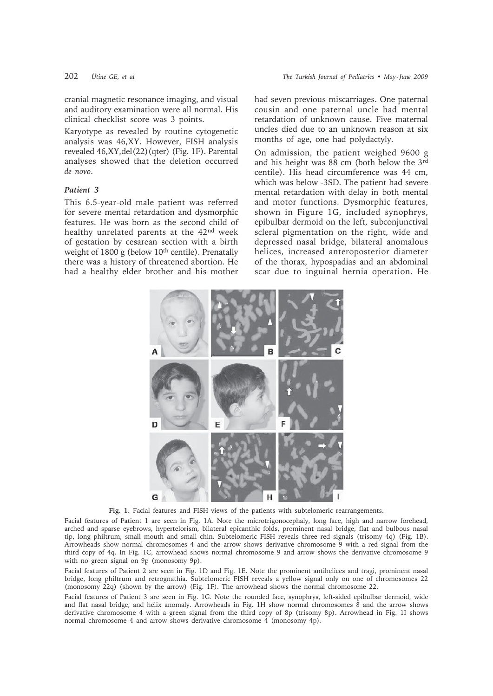Karyotype as revealed by routine cytogenetic analysis was 46,XY. However, FISH analysis revealed 46,XY,del(22)(qter) (Fig. 1F). Parental analyses showed that the deletion occurred *de novo*.

## *Patient 3*

This 6.5-year-old male patient was referred for severe mental retardation and dysmorphic features. He was born as the second child of healthy unrelated parents at the 42nd week of gestation by cesarean section with a birth weight of 1800 g (below 10<sup>th</sup> centile). Prenatally there was a history of threatened abortion. He had a healthy elder brother and his mother

had seven previous miscarriages. One paternal cousin and one paternal uncle had mental retardation of unknown cause. Five maternal uncles died due to an unknown reason at six months of age, one had polydactyly.

On admission, the patient weighed 9600 g and his height was 88 cm (both below the 3rd centile). His head circumference was 44 cm, which was below -3SD. The patient had severe mental retardation with delay in both mental and motor functions. Dysmorphic features, shown in Figure 1G, included synophrys, epibulbar dermoid on the left, subconjunctival scleral pigmentation on the right, wide and depressed nasal bridge, bilateral anomalous helices, increased anteroposterior diameter of the thorax, hypospadias and an abdominal scar due to inguinal hernia operation. He



Fig. 1. Facial features and FISH views of the patients with subtelomeric rearrangements.

Facial features of Patient 1 are seen in Fig. 1A. Note the microtrigonocephaly, long face, high and narrow forehead, arched and sparse eyebrows, hypertelorism, bilateral epicanthic folds, prominent nasal bridge, flat and bulbous nasal tip, long philtrum, small mouth and small chin. Subtelomeric FISH reveals three red signals (trisomy 4q) (Fig. 1B). Arrowheads show normal chromosomes 4 and the arrow shows derivative chromosome 9 with a red signal from the third copy of 4q. In Fig. 1C, arrowhead shows normal chromosome 9 and arrow shows the derivative chromosome 9 with no green signal on 9p (monosomy 9p).

Facial features of Patient 2 are seen in Fig. 1D and Fig. 1E. Note the prominent antihelices and tragi, prominent nasal bridge, long philtrum and retrognathia. Subtelomeric FISH reveals a yellow signal only on one of chromosomes 22 (monosomy 22q) (shown by the arrow) (Fig. 1F). The arrowhead shows the normal chromosome 22.

Facial features of Patient 3 are seen in Fig. 1G. Note the rounded face, synophrys, left-sided epibulbar dermoid, wide and flat nasal bridge, and helix anomaly. Arrowheads in Fig. 1H show normal chromosomes 8 and the arrow shows derivative chromosome 4 with a green signal from the third copy of 8p (trisomy 8p). Arrowhead in Fig. 1I shows normal chromosome 4 and arrow shows derivative chromosome 4 (monosomy 4p).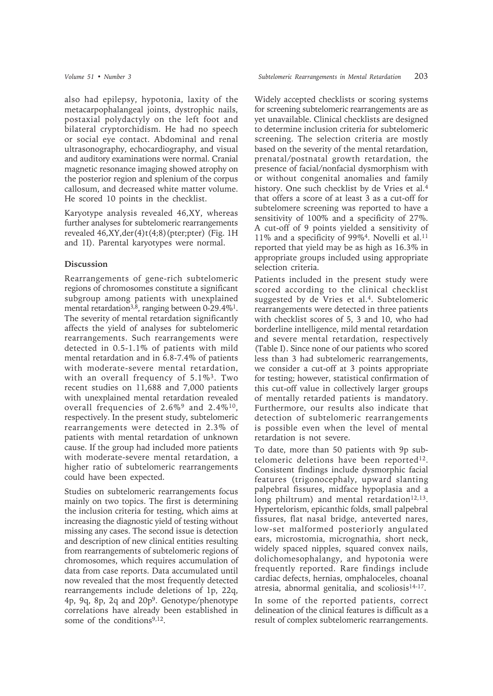also had epilepsy, hypotonia, laxity of the metacarpophalangeal joints, dystrophic nails, postaxial polydactyly on the left foot and bilateral cryptorchidism. He had no speech or social eye contact. Abdominal and renal ultrasonography, echocardiography, and visual and auditory examinations were normal. Cranial magnetic resonance imaging showed atrophy on the posterior region and splenium of the corpus callosum, and decreased white matter volume. He scored 10 points in the checklist.

Karyotype analysis revealed 46,XY, whereas further analyses for subtelomeric rearrangements revealed  $46, XY, der(4)t(4,8)$ (pter;pter) (Fig. 1H) and 1I). Parental karyotypes were normal.

#### **Discussion**

Rearrangements of gene-rich subtelomeric regions of chromosomes constitute a significant subgroup among patients with unexplained mental retardation<sup>3,8</sup>, ranging between 0-29.4%<sup>1</sup>. The severity of mental retardation significantly affects the yield of analyses for subtelomeric rearrangements. Such rearrangements were detected in 0.5-1.1% of patients with mild mental retardation and in 6.8-7.4% of patients with moderate-severe mental retardation, with an overall frequency of  $5.1\%$ <sup>3</sup>. Two recent studies on 11,688 and 7,000 patients with unexplained mental retardation revealed overall frequencies of 2.6%9 and 2.4%10, respectively. In the present study, subtelomeric rearrangements were detected in 2.3% of patients with mental retardation of unknown cause. If the group had included more patients with moderate-severe mental retardation, a higher ratio of subtelomeric rearrangements could have been expected.

Studies on subtelomeric rearrangements focus mainly on two topics. The first is determining the inclusion criteria for testing, which aims at increasing the diagnostic yield of testing without missing any cases. The second issue is detection and description of new clinical entities resulting from rearrangements of subtelomeric regions of chromosomes, which requires accumulation of data from case reports. Data accumulated until now revealed that the most frequently detected rearrangements include deletions of 1p, 22q, 4p, 9q, 8p, 2q and 20p9. Genotype/phenotype correlations have already been established in some of the conditions<sup>9,12</sup>.

Widely accepted checklists or scoring systems for screening subtelomeric rearrangements are as yet unavailable. Clinical checklists are designed to determine inclusion criteria for subtelomeric screening. The selection criteria are mostly based on the severity of the mental retardation, prenatal/postnatal growth retardation, the presence of facial/nonfacial dysmorphism with or without congenital anomalies and family history. One such checklist by de Vries et al.<sup>4</sup> that offers a score of at least 3 as a cut-off for subtelomere screening was reported to have a sensitivity of 100% and a specificity of 27%. A cut-off of 9 points yielded a sensitivity of 11% and a specificity of 99%4. Novelli et al.11 reported that yield may be as high as 16.3% in appropriate groups included using appropriate selection criteria.

Patients included in the present study were scored according to the clinical checklist suggested by de Vries et al.<sup>4</sup>. Subtelomeric rearrangements were detected in three patients with checklist scores of 5, 3 and 10, who had borderline intelligence, mild mental retardation and severe mental retardation, respectively (Table I). Since none of our patients who scored less than 3 had subtelomeric rearrangements, we consider a cut-off at 3 points appropriate for testing; however, statistical confirmation of this cut-off value in collectively larger groups of mentally retarded patients is mandatory. Furthermore, our results also indicate that detection of subtelomeric rearrangements is possible even when the level of mental retardation is not severe.

To date, more than 50 patients with 9p subtelomeric deletions have been reported<sup>12</sup>. Consistent findings include dysmorphic facial features (trigonocephaly, upward slanting palpebral fissures, midface hypoplasia and a long philtrum) and mental retardation $12,13$ . Hypertelorism, epicanthic folds, small palpebral fissures, flat nasal bridge, anteverted nares, low-set malformed posteriorly angulated ears, microstomia, micrognathia, short neck, widely spaced nipples, squared convex nails, dolichomesophalangy, and hypotonia were frequently reported. Rare findings include cardiac defects, hernias, omphaloceles, choanal atresia, abnormal genitalia, and scoliosis<sup>14-17</sup>. In some of the reported patients, correct

delineation of the clinical features is difficult as a result of complex subtelomeric rearrangements.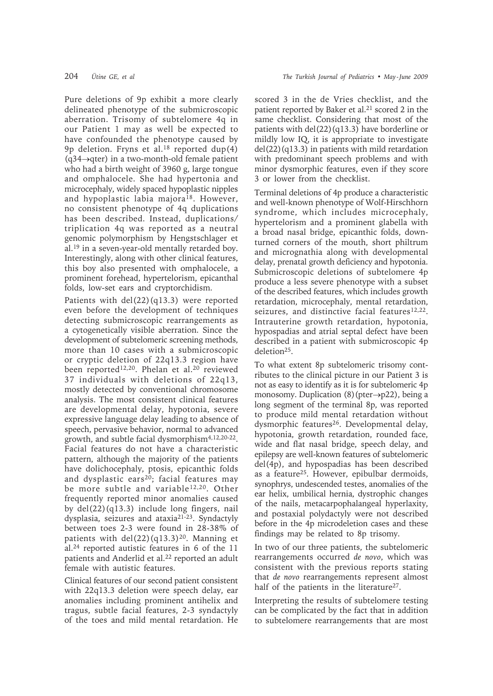Pure deletions of 9p exhibit a more clearly delineated phenotype of the submicroscopic aberration. Trisomy of subtelomere 4q in our Patient 1 may as well be expected to have confounded the phenotype caused by 9p deletion. Fryns et al.18 reported dup(4) (q34→qter) in a two-month-old female patient

who had a birth weight of 3960 g, large tongue and omphalocele. She had hypertonia and microcephaly, widely spaced hypoplastic nipples and hypoplastic labia majora18. However, no consistent phenotype of 4q duplications has been described. Instead, duplications/ triplication 4q was reported as a neutral genomic polymorphism by Hengstschlager et al.19 in a seven-year-old mentally retarded boy. Interestingly, along with other clinical features, this boy also presented with omphalocele, a prominent forehead, hypertelorism, epicanthal folds, low-set ears and cryptorchidism.

Patients with del(22)(q13.3) were reported even before the development of techniques detecting submicroscopic rearrangements as a cytogenetically visible aberration. Since the development of subtelomeric screening methods, more than 10 cases with a submicroscopic or cryptic deletion of 22q13.3 region have been reported<sup>12,20</sup>. Phelan et al.<sup>20</sup> reviewed 37 individuals with deletions of 22q13, mostly detected by conventional chromosome analysis. The most consistent clinical features are developmental delay, hypotonia, severe expressive language delay leading to absence of speech, pervasive behavior, normal to advanced growth, and subtle facial dysmorphism4,12,20-22. Facial features do not have a characteristic pattern, although the majority of the patients have dolichocephaly, ptosis, epicanthic folds and dysplastic ears<sup>20</sup>; facial features may be more subtle and variable<sup>12,20</sup>. Other frequently reported minor anomalies caused by del(22)(q13.3) include long fingers, nail dysplasia, seizures and ataxia21-23. Syndactyly between toes 2-3 were found in 28-38% of patients with  $del(22)(q13.3)^{20}$ . Manning et al.24 reported autistic features in 6 of the 11 patients and Anderlid et al.<sup>22</sup> reported an adult female with autistic features.

Clinical features of our second patient consistent with 22q13.3 deletion were speech delay, ear anomalies including prominent antihelix and tragus, subtle facial features, 2-3 syndactyly of the toes and mild mental retardation. He

scored 3 in the de Vries checklist, and the patient reported by Baker et al.<sup>21</sup> scored 2 in the same checklist. Considering that most of the patients with  $del(22)(q13.3)$  have borderline or mildly low IQ, it is appropriate to investigate del(22)(q13.3) in patients with mild retardation with predominant speech problems and with minor dysmorphic features, even if they score 3 or lower from the checklist.

Terminal deletions of 4p produce a characteristic and well-known phenotype of Wolf-Hirschhorn syndrome, which includes microcephaly, hypertelorism and a prominent glabella with a broad nasal bridge, epicanthic folds, downturned corners of the mouth, short philtrum and micrognathia along with developmental delay, prenatal growth deficiency and hypotonia. Submicroscopic deletions of subtelomere 4p produce a less severe phenotype with a subset of the described features, which includes growth retardation, microcephaly, mental retardation, seizures, and distinctive facial features<sup>12,22</sup>. Intrauterine growth retardation, hypotonia, hypospadias and atrial septal defect have been described in a patient with submicroscopic 4p deletion25.

To what extent 8p subtelomeric trisomy contributes to the clinical picture in our Patient 3 is not as easy to identify as it is for subtelomeric 4p monosomy. Duplication (8)(pter→p22), being a long segment of the terminal 8p, was reported to produce mild mental retardation without dysmorphic features<sup>26</sup>. Developmental delay, hypotonia, growth retardation, rounded face, wide and flat nasal bridge, speech delay, and epilepsy are well-known features of subtelomeric del(4p), and hypospadias has been described as a feature25. However, epibulbar dermoids, synophrys, undescended testes, anomalies of the ear helix, umbilical hernia, dystrophic changes of the nails, metacarpophalangeal hyperlaxity, and postaxial polydactyly were not described before in the 4p microdeletion cases and these findings may be related to 8p trisomy.

In two of our three patients, the subtelomeric rearrangements occurred *de novo*, which was consistent with the previous reports stating that *de novo* rearrangements represent almost half of the patients in the literature<sup>27</sup>.

Interpreting the results of subtelomere testing can be complicated by the fact that in addition to subtelomere rearrangements that are most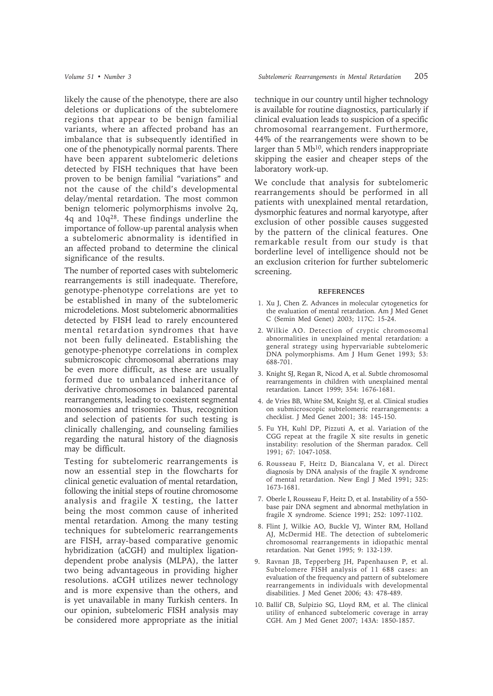likely the cause of the phenotype, there are also deletions or duplications of the subtelomere regions that appear to be benign familial variants, where an affected proband has an imbalance that is subsequently identified in one of the phenotypically normal parents. There have been apparent subtelomeric deletions detected by FISH techniques that have been proven to be benign familial "variations" and not the cause of the child's developmental delay/mental retardation. The most common benign telomeric polymorphisms involve 2q, 4q and 10q28. These findings underline the importance of follow-up parental analysis when a subtelomeric abnormality is identified in an affected proband to determine the clinical significance of the results.

The number of reported cases with subtelomeric rearrangements is still inadequate. Therefore, genotype-phenotype correlations are yet to be established in many of the subtelomeric microdeletions. Most subtelomeric abnormalities detected by FISH lead to rarely encountered mental retardation syndromes that have not been fully delineated. Establishing the genotype-phenotype correlations in complex submicroscopic chromosomal aberrations may be even more difficult, as these are usually formed due to unbalanced inheritance of derivative chromosomes in balanced parental rearrangements, leading to coexistent segmental monosomies and trisomies. Thus, recognition and selection of patients for such testing is clinically challenging, and counseling families regarding the natural history of the diagnosis may be difficult.

Testing for subtelomeric rearrangements is now an essential step in the flowcharts for clinical genetic evaluation of mental retardation, following the initial steps of routine chromosome analysis and fragile X testing, the latter being the most common cause of inherited mental retardation. Among the many testing techniques for subtelomeric rearrangements are FISH, array-based comparative genomic hybridization (aCGH) and multiplex ligationdependent probe analysis (MLPA), the latter two being advantageous in providing higher resolutions. aCGH utilizes newer technology and is more expensive than the others, and is yet unavailable in many Turkish centers. In our opinion, subtelomeric FISH analysis may be considered more appropriate as the initial

technique in our country until higher technology is available for routine diagnostics, particularly if clinical evaluation leads to suspicion of a specific chromosomal rearrangement. Furthermore, 44% of the rearrangements were shown to be larger than 5 Mb<sup>10</sup>, which renders inappropriate skipping the easier and cheaper steps of the laboratory work-up.

We conclude that analysis for subtelomeric rearrangements should be performed in all patients with unexplained mental retardation, dysmorphic features and normal karyotype, after exclusion of other possible causes suggested by the pattern of the clinical features. One remarkable result from our study is that borderline level of intelligence should not be an exclusion criterion for further subtelomeric screening.

#### **REFERENCES**

- 1. Xu J, Chen Z. Advances in molecular cytogenetics for the evaluation of mental retardation. Am J Med Genet C (Semin Med Genet) 2003; 117C: 15-24.
- 2. Wilkie AO. Detection of cryptic chromosomal abnormalities in unexplained mental retardation: a general strategy using hypervariable subtelomeric DNA polymorphisms. Am J Hum Genet 1993; 53: 688-701.
- 3. Knight SJ, Regan R, Nicod A, et al. Subtle chromosomal rearrangements in children with unexplained mental retardation. Lancet 1999; 354: 1676-1681.
- 4. de Vries BB, White SM, Knight SJ, et al. Clinical studies on submicroscopic subtelomeric rearrangements: a checklist. J Med Genet 2001; 38: 145-150.
- 5. Fu YH, Kuhl DP, Pizzuti A, et al. Variation of the CGG repeat at the fragile X site results in genetic instability: resolution of the Sherman paradox. Cell 1991; 67: 1047-1058.
- 6. Rousseau F, Heitz D, Biancalana V, et al. Direct diagnosis by DNA analysis of the fragile X syndrome of mental retardation. New Engl J Med 1991; 325: 1673-1681.
- 7. Oberle I, Rousseau F, Heitz D, et al. Instability of a 550 base pair DNA segment and abnormal methylation in fragile X syndrome. Science 1991; 252: 1097-1102.
- 8. Flint J, Wilkie AO, Buckle VJ, Winter RM, Holland AJ, McDermid HE. The detection of subtelomeric chromosomal rearrangements in idiopathic mental retardation. Nat Genet 1995; 9: 132-139.
- 9. Ravnan JB, Tepperberg JH, Papenhausen P, et al. Subtelomere FISH analysis of 11 688 cases: an evaluation of the frequency and pattern of subtelomere rearrangements in individuals with developmental disabilities. J Med Genet 2006; 43: 478-489.
- 10. Ballif CB, Sulpizio SG, Lloyd RM, et al. The clinical utility of enhanced subtelomeric coverage in array CGH. Am J Med Genet 2007; 143A: 1850-1857.